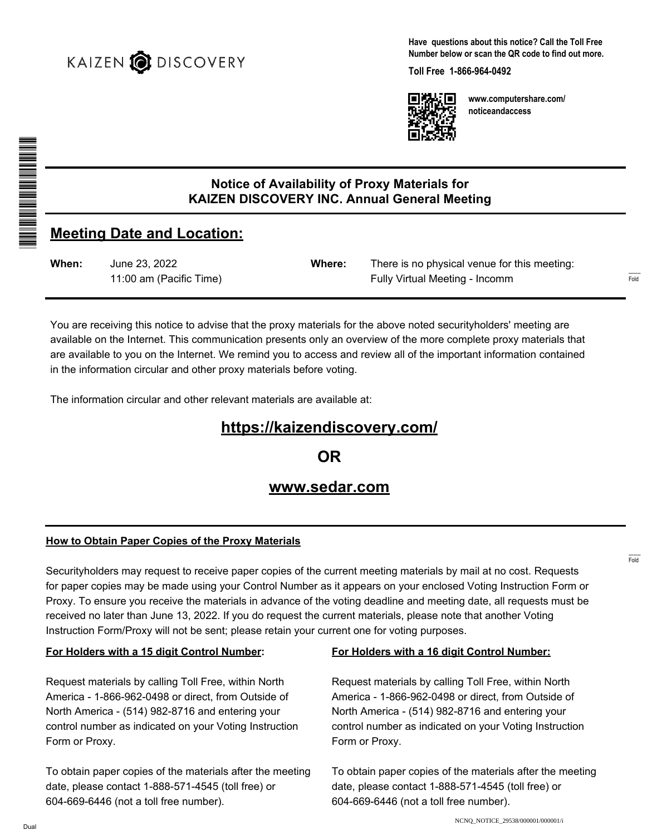

**Have questions about this notice? Call the Toll Free Number below or scan the QR code to find out more.**

**Toll Free 1-866-964-0492**



**www.computershare.com/ noticeandaccess**

## **Notice of Availability of Proxy Materials for KAIZEN DISCOVERY INC. Annual General Meeting**

# **Meeting Date and Location:**

| When: | June 23, 2022           | <b>Where:</b> | There is no physical venue for this meeting: |
|-------|-------------------------|---------------|----------------------------------------------|
|       | 11:00 am (Pacific Time) |               | Fully Virtual Meeting - Incomm               |

You are receiving this notice to advise that the proxy materials for the above noted securityholders' meeting are available on the Internet. This communication presents only an overview of the more complete proxy materials that are available to you on the Internet. We remind you to access and review all of the important information contained in the information circular and other proxy materials before voting.

The information circular and other relevant materials are available at:

# **https://kaizendiscovery.com/**

**OR**

## **www.sedar.com**

#### **How to Obtain Paper Copies of the Proxy Materials**

Securityholders may request to receive paper copies of the current meeting materials by mail at no cost. Requests for paper copies may be made using your Control Number as it appears on your enclosed Voting Instruction Form or Proxy. To ensure you receive the materials in advance of the voting deadline and meeting date, all requests must be received no later than June 13, 2022. If you do request the current materials, please note that another Voting Instruction Form/Proxy will not be sent; please retain your current one for voting purposes.

#### **For Holders with a 15 digit Control Number:**

Request materials by calling Toll Free, within North America - 1-866-962-0498 or direct, from Outside of North America - (514) 982-8716 and entering your control number as indicated on your Voting Instruction Form or Proxy.

To obtain paper copies of the materials after the meeting date, please contact 1-888-571-4545 (toll free) or 604-669-6446 (not a toll free number).

#### **For Holders with a 16 digit Control Number:**

Request materials by calling Toll Free, within North America - 1-866-962-0498 or direct, from Outside of North America - (514) 982-8716 and entering your control number as indicated on your Voting Instruction Form or Proxy.

To obtain paper copies of the materials after the meeting date, please contact 1-888-571-4545 (toll free) or 604-669-6446 (not a toll free number).

\*S000001Q01\*

------- Fold